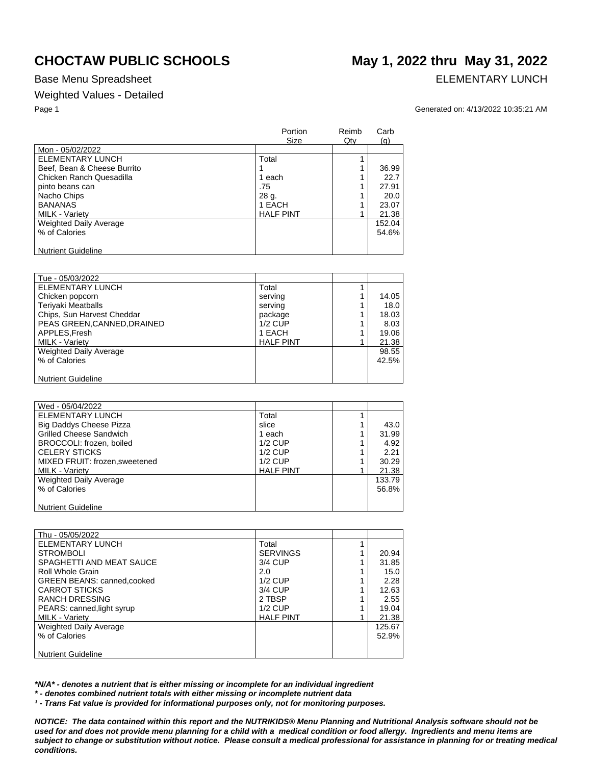## **CHOCTAW PUBLIC SCHOOLS May 1, 2022 thru May 31, 2022**

### Base Menu Spreadsheet **ELEMENTARY LUNCH**

### Weighted Values - Detailed

### Page 1 Generated on: 4/13/2022 10:35:21 AM

|                             | Portion<br>Size  | Reimb<br>Qty | Carb<br>(q) |
|-----------------------------|------------------|--------------|-------------|
| Mon - 05/02/2022            |                  |              |             |
| ELEMENTARY LUNCH            | Total            |              |             |
| Beef, Bean & Cheese Burrito |                  |              | 36.99       |
| Chicken Ranch Quesadilla    | 1 each           |              | 22.7        |
| pinto beans can             | .75              |              | 27.91       |
| Nacho Chips                 | 28 g.            |              | 20.0        |
| <b>BANANAS</b>              | 1 EACH           |              | 23.07       |
| <b>MILK - Variety</b>       | <b>HALF PINT</b> | 4            | 21.38       |
| Weighted Daily Average      |                  |              | 152.04      |
| % of Calories               |                  |              | 54.6%       |
| <b>Nutrient Guideline</b>   |                  |              |             |

| Tue - 05/03/2022           |                  |       |
|----------------------------|------------------|-------|
| <b>ELEMENTARY LUNCH</b>    | Total            |       |
| Chicken popcorn            | serving          | 14.05 |
| <b>Teriyaki Meatballs</b>  | serving          | 18.0  |
| Chips, Sun Harvest Cheddar | package          | 18.03 |
| PEAS GREEN.CANNED.DRAINED  | $1/2$ CUP        | 8.03  |
| APPLES, Fresh              | 1 EACH           | 19.06 |
| <b>MILK - Varietv</b>      | <b>HALF PINT</b> | 21.38 |
| Weighted Daily Average     |                  | 98.55 |
| % of Calories              |                  | 42.5% |
|                            |                  |       |
| <b>Nutrient Guideline</b>  |                  |       |

| Wed - 05/04/2022               |                  |        |
|--------------------------------|------------------|--------|
| ELEMENTARY LUNCH               | Total            |        |
| <b>Big Daddys Cheese Pizza</b> | slice            | 43.0   |
| <b>Grilled Cheese Sandwich</b> | 1 each           | 31.99  |
| BROCCOLI: frozen. boiled       | $1/2$ CUP        | 4.92   |
| <b>CELERY STICKS</b>           | $1/2$ CUP        | 2.21   |
| MIXED FRUIT: frozen, sweetened | $1/2$ CUP        | 30.29  |
| <b>MILK - Variety</b>          | <b>HALF PINT</b> | 21.38  |
| <b>Weighted Daily Average</b>  |                  | 133.79 |
| % of Calories                  |                  | 56.8%  |
|                                |                  |        |
| <b>Nutrient Guideline</b>      |                  |        |

| Thu - 05/05/2022                   |                  |        |
|------------------------------------|------------------|--------|
| ELEMENTARY LUNCH                   | Total            |        |
| <b>STROMBOLI</b>                   | <b>SERVINGS</b>  | 20.94  |
| SPAGHETTI AND MEAT SAUCE           | 3/4 CUP          | 31.85  |
| Roll Whole Grain                   | 2.0              | 15.0   |
| <b>GREEN BEANS: canned, cooked</b> | $1/2$ CUP        | 2.28   |
| <b>CARROT STICKS</b>               | 3/4 CUP          | 12.63  |
| RANCH DRESSING                     | 2 TBSP           | 2.55   |
| PEARS: canned, light syrup         | $1/2$ CUP        | 19.04  |
| MILK - Variety                     | <b>HALF PINT</b> | 21.38  |
| Weighted Daily Average             |                  | 125.67 |
| % of Calories                      |                  | 52.9%  |
|                                    |                  |        |
| <b>Nutrient Guideline</b>          |                  |        |

*\*N/A\* - denotes a nutrient that is either missing or incomplete for an individual ingredient*

*\* - denotes combined nutrient totals with either missing or incomplete nutrient data*

*¹ - Trans Fat value is provided for informational purposes only, not for monitoring purposes.*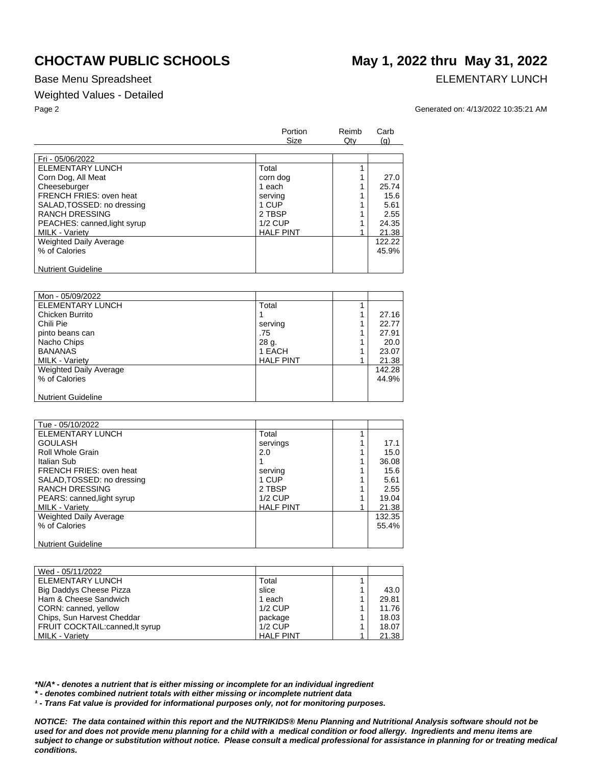### Base Menu Spreadsheet **ELEMENTARY LUNCH**

### Weighted Values - Detailed

# **CHOCTAW PUBLIC SCHOOLS May 1, 2022 thru May 31, 2022**

Page 2 Generated on: 4/13/2022 10:35:21 AM

|                              | Portion          | Reimb  | Carb   |
|------------------------------|------------------|--------|--------|
|                              | Size             | $Q$ ty | (q)    |
|                              |                  |        |        |
| Fri - 05/06/2022             |                  |        |        |
| ELEMENTARY LUNCH             | Total            |        |        |
| Corn Dog, All Meat           | corn dog         |        | 27.0   |
| Cheeseburger                 | 1 each           |        | 25.74  |
| FRENCH FRIES: oven heat      | serving          |        | 15.6   |
| SALAD, TOSSED: no dressing   | 1 CUP            |        | 5.61   |
| <b>RANCH DRESSING</b>        | 2 TBSP           |        | 2.55   |
| PEACHES: canned, light syrup | $1/2$ CUP        |        | 24.35  |
| <b>MILK - Varietv</b>        | <b>HALF PINT</b> |        | 21.38  |
| Weighted Daily Average       |                  |        | 122.22 |
| % of Calories                |                  |        | 45.9%  |
|                              |                  |        |        |
| <b>Nutrient Guideline</b>    |                  |        |        |

| Mon - 05/09/2022              |                  |        |
|-------------------------------|------------------|--------|
| ELEMENTARY LUNCH              | Total            |        |
| Chicken Burrito               |                  | 27.16  |
| Chili Pie                     | serving          | 22.77  |
| pinto beans can               | .75              | 27.91  |
| Nacho Chips                   | 28 g.            | 20.0   |
| <b>BANANAS</b>                | 1 EACH           | 23.07  |
| MILK - Variety                | <b>HALF PINT</b> | 21.38  |
| <b>Weighted Daily Average</b> |                  | 142.28 |
| % of Calories                 |                  | 44.9%  |
|                               |                  |        |
| <b>Nutrient Guideline</b>     |                  |        |

| Tue - 05/10/2022               |                  |        |
|--------------------------------|------------------|--------|
| <b>ELEMENTARY LUNCH</b>        | Total            |        |
| <b>GOULASH</b>                 | servings         | 17.1   |
| Roll Whole Grain               | 2.0              | 15.0   |
| Italian Sub                    |                  | 36.08  |
| <b>FRENCH FRIES: oven heat</b> | serving          | 15.6   |
| SALAD, TOSSED: no dressing     | 1 CUP            | 5.61   |
| <b>RANCH DRESSING</b>          | 2 TBSP           | 2.55   |
| PEARS: canned, light syrup     | $1/2$ CUP        | 19.04  |
| <b>MILK - Variety</b>          | <b>HALF PINT</b> | 21.38  |
| <b>Weighted Daily Average</b>  |                  | 132.35 |
| % of Calories                  |                  | 55.4%  |
|                                |                  |        |
| <b>Nutrient Guideline</b>      |                  |        |

| Wed - 05/11/2022                 |                  |       |
|----------------------------------|------------------|-------|
| ELEMENTARY LUNCH                 | Total            |       |
| Big Daddys Cheese Pizza          | slice            | 43.0  |
| Ham & Cheese Sandwich            | 1 each           | 29.81 |
| CORN: canned, yellow             | $1/2$ CUP        | 11.76 |
| Chips, Sun Harvest Cheddar       | package          | 18.03 |
| FRUIT COCKTAIL: canned, It syrup | $1/2$ CUP        | 18.07 |
| <b>MILK - Varietv</b>            | <b>HALF PINT</b> | 21.38 |

*\*N/A\* - denotes a nutrient that is either missing or incomplete for an individual ingredient*

*\* - denotes combined nutrient totals with either missing or incomplete nutrient data*

*¹ - Trans Fat value is provided for informational purposes only, not for monitoring purposes.*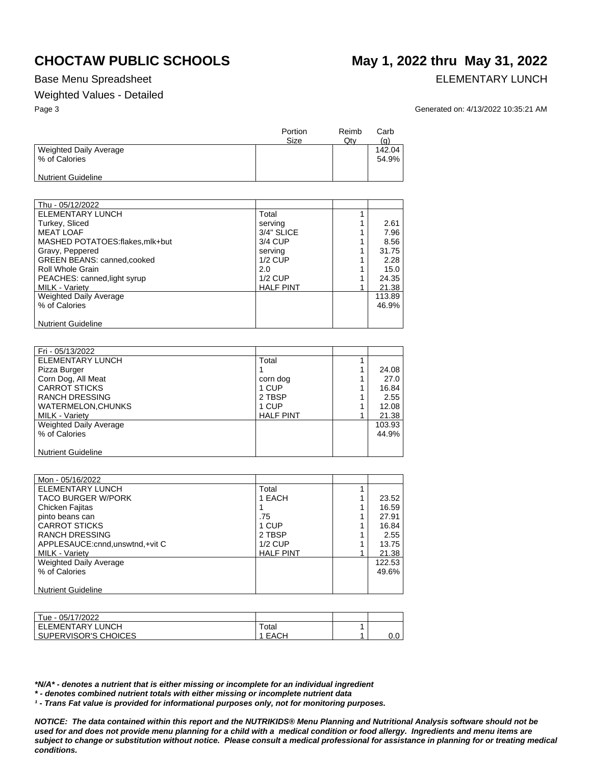### Base Menu Spreadsheet **ELEMENTARY LUNCH**

### Weighted Values - Detailed

# **CHOCTAW PUBLIC SCHOOLS May 1, 2022 thru May 31, 2022**

Page 3 Generated on: 4/13/2022 10:35:21 AM

|                                         | Portion<br>Size | Reimb<br>Qty | Carb<br>(g)     |
|-----------------------------------------|-----------------|--------------|-----------------|
| Weighted Daily Average<br>% of Calories |                 |              | 142.04<br>54.9% |
| <b>Nutrient Guideline</b>               |                 |              |                 |

| Thu - 05/12/2022                   |                  |        |
|------------------------------------|------------------|--------|
| ELEMENTARY LUNCH                   | Total            |        |
| Turkey, Sliced                     | serving          | 2.61   |
| <b>MEAT LOAF</b>                   | 3/4" SLICE       | 7.96   |
| MASHED POTATOES:flakes.mlk+but     | 3/4 CUP          | 8.56   |
| Gravy, Peppered                    | serving          | 31.75  |
| <b>GREEN BEANS: canned, cooked</b> | $1/2$ CUP        | 2.28   |
| <b>Roll Whole Grain</b>            | 2.0              | 15.0   |
| PEACHES: canned, light syrup       | $1/2$ CUP        | 24.35  |
| MILK - Variety                     | <b>HALF PINT</b> | 21.38  |
| Weighted Daily Average             |                  | 113.89 |
| % of Calories                      |                  | 46.9%  |
|                                    |                  |        |
| <b>Nutrient Guideline</b>          |                  |        |

| Fri - 05/13/2022              |                  |        |
|-------------------------------|------------------|--------|
| ELEMENTARY LUNCH              | Total            |        |
| Pizza Burger                  |                  | 24.08  |
| Corn Dog, All Meat            | corn dog         | 27.0   |
| <b>CARROT STICKS</b>          | 1 CUP            | 16.84  |
| <b>RANCH DRESSING</b>         | 2 TBSP           | 2.55   |
| <b>WATERMELON, CHUNKS</b>     | 1 CUP            | 12.08  |
| <b>MILK - Variety</b>         | <b>HALF PINT</b> | 21.38  |
| <b>Weighted Daily Average</b> |                  | 103.93 |
| % of Calories                 |                  | 44.9%  |
|                               |                  |        |
| <b>Nutrient Guideline</b>     |                  |        |

| Mon - 05/16/2022                  |                  |        |
|-----------------------------------|------------------|--------|
| ELEMENTARY LUNCH                  | Total            |        |
| <b>TACO BURGER W/PORK</b>         | 1 EACH           | 23.52  |
| Chicken Fajitas                   |                  | 16.59  |
| pinto beans can                   | .75              | 27.91  |
| <b>CARROT STICKS</b>              | 1 CUP            | 16.84  |
| <b>RANCH DRESSING</b>             | 2 TBSP           | 2.55   |
| APPLESAUCE: cnnd, unswtnd, +vit C | $1/2$ CUP        | 13.75  |
| <b>MILK - Variety</b>             | <b>HALF PINT</b> | 21.38  |
| <b>Weighted Daily Average</b>     |                  | 122.53 |
| % of Calories                     |                  | 49.6%  |
|                                   |                  |        |
| <b>Nutrient Guideline</b>         |                  |        |

| Tue - 05/17/2022        |       |        |
|-------------------------|-------|--------|
| <b>ELEMENTARY LUNCH</b> | Total |        |
| SUPERVISOR'S CHOICES    | EACH  | $\sim$ |

*\*N/A\* - denotes a nutrient that is either missing or incomplete for an individual ingredient*

*\* - denotes combined nutrient totals with either missing or incomplete nutrient data*

*¹ - Trans Fat value is provided for informational purposes only, not for monitoring purposes.*